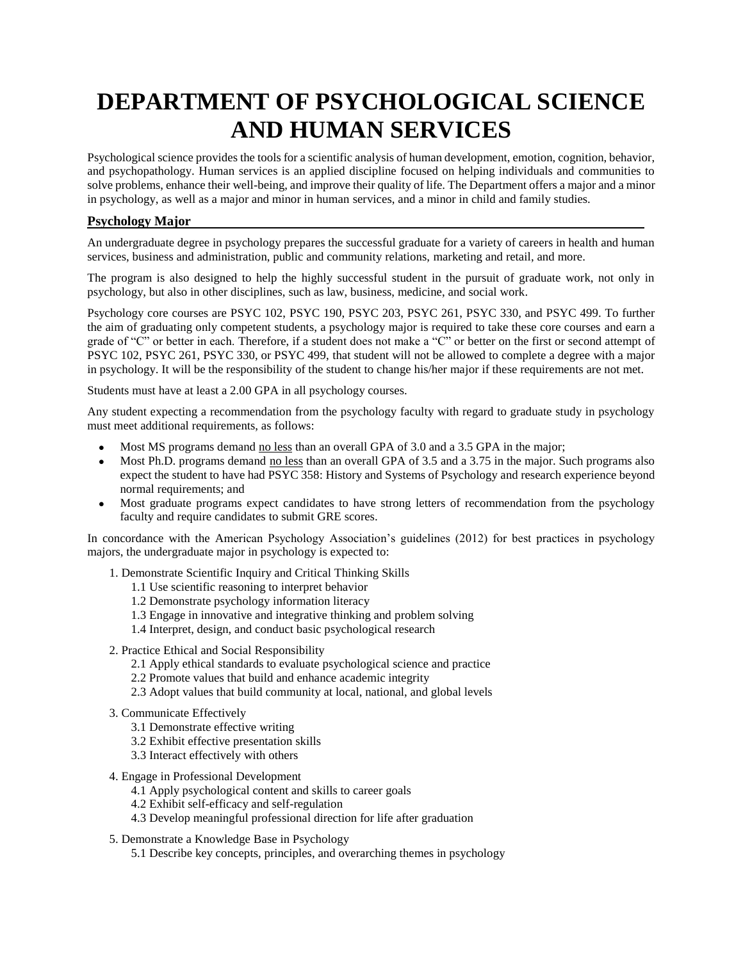# **DEPARTMENT OF PSYCHOLOGICAL SCIENCE AND HUMAN SERVICES**

Psychological science provides the tools for a scientific analysis of human development, emotion, cognition, behavior, and psychopathology. Human services is an applied discipline focused on helping individuals and communities to solve problems, enhance their well-being, and improve their quality of life. The Department offers a major and a minor in psychology, as well as a major and minor in human services, and a minor in child and family studies.

### **Psychology Major**

An undergraduate degree in psychology prepares the successful graduate for a variety of careers in health and human services, business and administration, public and community relations, marketing and retail, and more.

The program is also designed to help the highly successful student in the pursuit of graduate work, not only in psychology, but also in other disciplines, such as law, business, medicine, and social work.

Psychology core courses are PSYC 102, PSYC 190, PSYC 203, PSYC 261, PSYC 330, and PSYC 499. To further the aim of graduating only competent students, a psychology major is required to take these core courses and earn a grade of "C" or better in each. Therefore, if a student does not make a "C" or better on the first or second attempt of PSYC 102, PSYC 261, PSYC 330, or PSYC 499, that student will not be allowed to complete a degree with a major in psychology. It will be the responsibility of the student to change his/her major if these requirements are not met.

Students must have at least a 2.00 GPA in all psychology courses.

Any student expecting a recommendation from the psychology faculty with regard to graduate study in psychology must meet additional requirements, as follows:

- Most MS programs demand no less than an overall GPA of 3.0 and a 3.5 GPA in the major;
- Most Ph.D. programs demand no less than an overall GPA of 3.5 and a 3.75 in the major. Such programs also expect the student to have had PSYC 358: History and Systems of Psychology and research experience beyond normal requirements; and
- Most graduate programs expect candidates to have strong letters of recommendation from the psychology faculty and require candidates to submit GRE scores.

In concordance with the American Psychology Association's guidelines (2012) for best practices in psychology majors, the undergraduate major in psychology is expected to:

- 1. Demonstrate Scientific Inquiry and Critical Thinking Skills
	- 1.1 Use scientific reasoning to interpret behavior
	- 1.2 Demonstrate psychology information literacy
	- 1.3 Engage in innovative and integrative thinking and problem solving
	- 1.4 Interpret, design, and conduct basic psychological research
- 2. Practice Ethical and Social Responsibility
	- 2.1 Apply ethical standards to evaluate psychological science and practice
	- 2.2 Promote values that build and enhance academic integrity
	- 2.3 Adopt values that build community at local, national, and global levels
- 3. Communicate Effectively
	- 3.1 Demonstrate effective writing
	- 3.2 Exhibit effective presentation skills
	- 3.3 Interact effectively with others
- 4. Engage in Professional Development
	- 4.1 Apply psychological content and skills to career goals
	- 4.2 Exhibit self-efficacy and self-regulation
	- 4.3 Develop meaningful professional direction for life after graduation
- 5. Demonstrate a Knowledge Base in Psychology
	- 5.1 Describe key concepts, principles, and overarching themes in psychology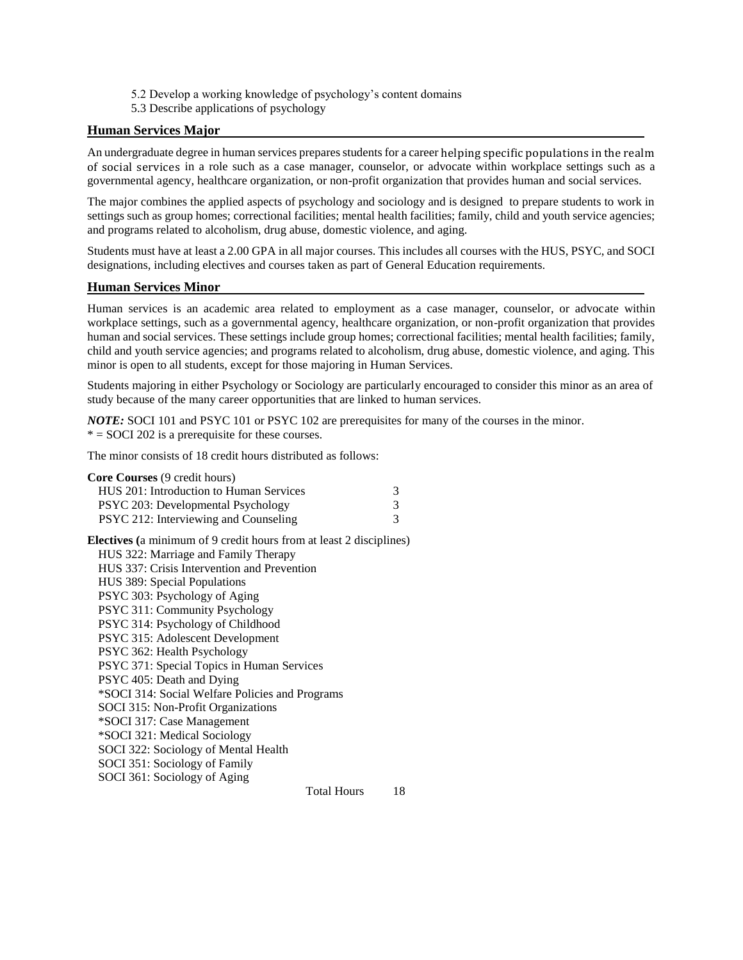- 5.2 Develop a working knowledge of psychology's content domains
- 5.3 Describe applications of psychology

### **Human Services Major**

An undergraduate degree in human services prepares students for a career helping specific populations in the realm of social services in a role such as a case manager, counselor, or advocate within workplace settings such as a governmental agency, healthcare organization, or non-profit organization that provides human and social services.

The major combines the applied aspects of psychology and sociology and is designed to prepare students to work in settings such as group homes; correctional facilities; mental health facilities; family, child and youth service agencies; and programs related to alcoholism, drug abuse, domestic violence, and aging.

Students must have at least a 2.00 GPA in all major courses. This includes all courses with the HUS, PSYC, and SOCI designations, including electives and courses taken as part of General Education requirements.

### **Human Services Minor**

Human services is an academic area related to employment as a case manager, counselor, or advocate within workplace settings, such as a governmental agency, healthcare organization, or non-profit organization that provides human and social services. These settings include group homes; correctional facilities; mental health facilities; family, child and youth service agencies; and programs related to alcoholism, drug abuse, domestic violence, and aging. This minor is open to all students, except for those majoring in Human Services.

Students majoring in either Psychology or Sociology are particularly encouraged to consider this minor as an area of study because of the many career opportunities that are linked to human services.

*NOTE:* SOCI 101 and PSYC 101 or PSYC 102 are prerequisites for many of the courses in the minor.  $* = SOCI 202$  is a prerequisite for these courses.

The minor consists of 18 credit hours distributed as follows:

| <b>Core Courses</b> (9 credit hours)                                       |   |
|----------------------------------------------------------------------------|---|
| HUS 201: Introduction to Human Services                                    | 3 |
| PSYC 203: Developmental Psychology                                         | 3 |
| PSYC 212: Interviewing and Counseling                                      | 3 |
| <b>Electives</b> (a minimum of 9 credit hours from at least 2 disciplines) |   |

| <b>Electives</b> (a minimum of $\theta$ credit hours from at least 2 disciplines |
|----------------------------------------------------------------------------------|
| HUS 322: Marriage and Family Therapy                                             |
| HUS 337: Crisis Intervention and Prevention                                      |
| HUS 389: Special Populations                                                     |
| PSYC 303: Psychology of Aging                                                    |
| PSYC 311: Community Psychology                                                   |
| PSYC 314: Psychology of Childhood                                                |
| PSYC 315: Adolescent Development                                                 |
| PSYC 362: Health Psychology                                                      |
| PSYC 371: Special Topics in Human Services                                       |
| PSYC 405: Death and Dying                                                        |
| *SOCI 314: Social Welfare Policies and Programs                                  |
| SOCI 315: Non-Profit Organizations                                               |
| *SOCI 317: Case Management                                                       |
| *SOCI 321: Medical Sociology                                                     |
| SOCI 322: Sociology of Mental Health                                             |
| SOCI 351: Sociology of Family                                                    |
| SOCI 361: Sociology of Aging                                                     |
| 18<br><b>Total Hours</b>                                                         |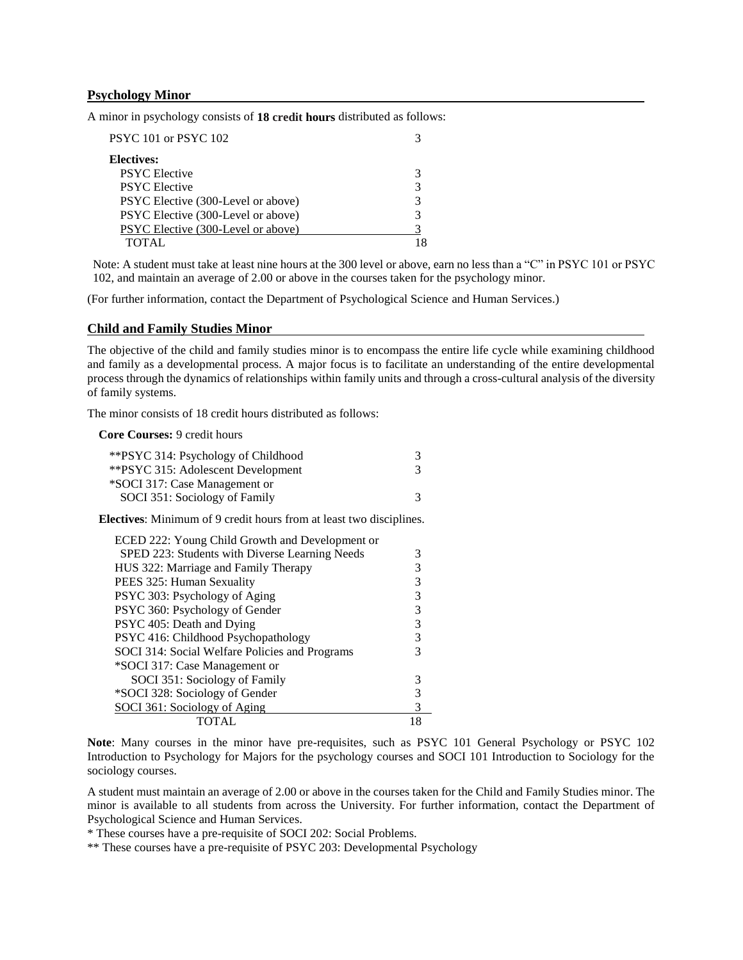#### **Psychology Minor**

A minor in psychology consists of **18 credit hours** distributed as follows:

| PSYC 101 or PSYC 102               |  |
|------------------------------------|--|
| <b>Electives:</b>                  |  |
| <b>PSYC</b> Elective               |  |
| <b>PSYC</b> Elective               |  |
| PSYC Elective (300-Level or above) |  |
| PSYC Elective (300-Level or above) |  |
| PSYC Elective (300-Level or above) |  |
| TOTAL.                             |  |

Note: A student must take at least nine hours at the 300 level or above, earn no less than a "C" in PSYC 101 or PSYC 102, and maintain an average of 2.00 or above in the courses taken for the psychology minor.

(For further information, contact the Department of Psychological Science and Human Services.)

#### **Child and Family Studies Minor**

The objective of the child and family studies minor is to encompass the entire life cycle while examining childhood and family as a developmental process. A major focus is to facilitate an understanding of the entire developmental process through the dynamics of relationships within family units and through a cross-cultural analysis of the diversity of family systems.

The minor consists of 18 credit hours distributed as follows:

**Core Courses:** 9 credit hours

| ** PSYC 315: Adolescent Development<br>3       |  |
|------------------------------------------------|--|
| *SOCI 317: Case Management or                  |  |
| SOCI 351: Sociology of Family<br>$\mathcal{R}$ |  |

**Electives**: Minimum of 9 credit hours from at least two disciplines.

| ECED 222: Young Child Growth and Development or |   |
|-------------------------------------------------|---|
| SPED 223: Students with Diverse Learning Needs  |   |
| HUS 322: Marriage and Family Therapy            |   |
| PEES 325: Human Sexuality                       | 3 |
| PSYC 303: Psychology of Aging                   | 3 |
| PSYC 360: Psychology of Gender                  | 3 |
| PSYC 405: Death and Dying                       | 3 |
| PSYC 416: Childhood Psychopathology             |   |
| SOCI 314: Social Welfare Policies and Programs  |   |
| *SOCI 317: Case Management or                   |   |
| SOCI 351: Sociology of Family                   |   |
| *SOCI 328: Sociology of Gender                  |   |
| SOCI 361: Sociology of Aging                    | 3 |
| TOTAL                                           |   |

**Note**: Many courses in the minor have pre-requisites, such as PSYC 101 General Psychology or PSYC 102 Introduction to Psychology for Majors for the psychology courses and SOCI 101 Introduction to Sociology for the sociology courses.

A student must maintain an average of 2.00 or above in the courses taken for the Child and Family Studies minor. The minor is available to all students from across the University. For further information, contact the Department of Psychological Science and Human Services.

\* These courses have a pre-requisite of SOCI 202: Social Problems.

\*\* These courses have a pre-requisite of PSYC 203: Developmental Psychology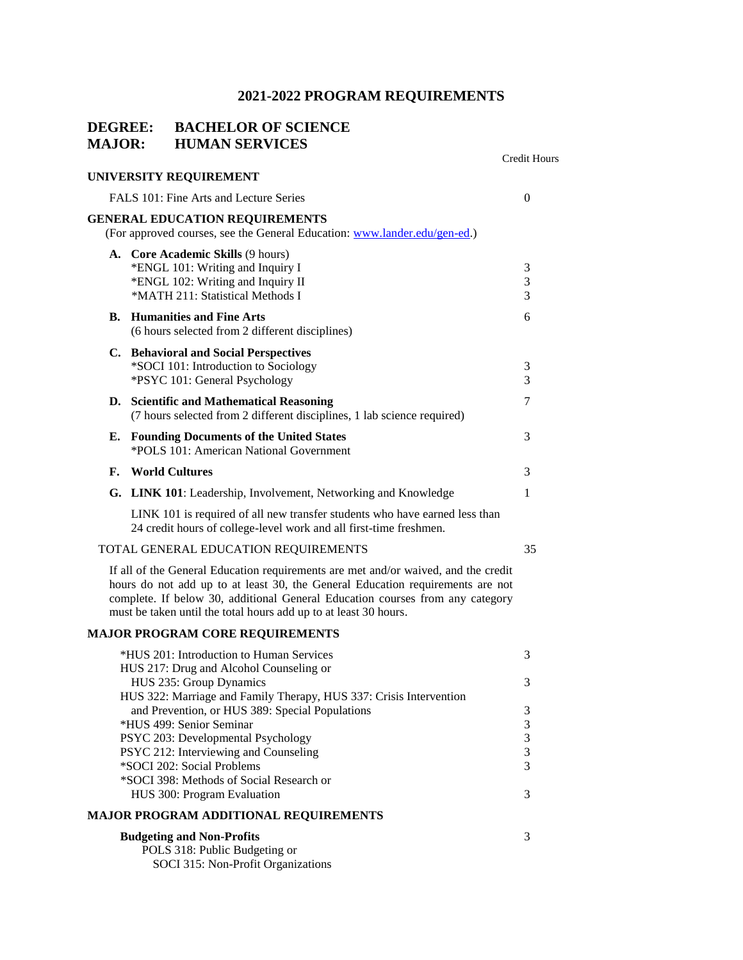# **2021-2022 PROGRAM REQUIREMENTS**

## **DEGREE: BACHELOR OF SCIENCE MAJOR: HUMAN SERVICES**

|    |                                                                                                                                                                                                                                                                                                                           | <b>Credit Hours</b> |
|----|---------------------------------------------------------------------------------------------------------------------------------------------------------------------------------------------------------------------------------------------------------------------------------------------------------------------------|---------------------|
|    | UNIVERSITY REQUIREMENT                                                                                                                                                                                                                                                                                                    |                     |
|    | FALS 101: Fine Arts and Lecture Series                                                                                                                                                                                                                                                                                    | $\theta$            |
|    | <b>GENERAL EDUCATION REQUIREMENTS</b><br>(For approved courses, see the General Education: www.lander.edu/gen-ed.)                                                                                                                                                                                                        |                     |
|    | A. Core Academic Skills (9 hours)<br>*ENGL 101: Writing and Inquiry I<br>*ENGL 102: Writing and Inquiry II<br>*MATH 211: Statistical Methods I                                                                                                                                                                            | 3<br>3<br>3         |
| В. | <b>Humanities and Fine Arts</b><br>(6 hours selected from 2 different disciplines)                                                                                                                                                                                                                                        | 6                   |
|    | C. Behavioral and Social Perspectives<br>*SOCI 101: Introduction to Sociology<br>*PSYC 101: General Psychology                                                                                                                                                                                                            | 3<br>3              |
|    | D. Scientific and Mathematical Reasoning<br>(7 hours selected from 2 different disciplines, 1 lab science required)                                                                                                                                                                                                       | 7                   |
| Е. | <b>Founding Documents of the United States</b><br>*POLS 101: American National Government                                                                                                                                                                                                                                 | 3                   |
| F. | <b>World Cultures</b>                                                                                                                                                                                                                                                                                                     | 3                   |
|    | G. LINK 101: Leadership, Involvement, Networking and Knowledge                                                                                                                                                                                                                                                            | 1                   |
|    | LINK 101 is required of all new transfer students who have earned less than<br>24 credit hours of college-level work and all first-time freshmen.                                                                                                                                                                         |                     |
|    | TOTAL GENERAL EDUCATION REQUIREMENTS                                                                                                                                                                                                                                                                                      | 35                  |
|    | If all of the General Education requirements are met and/or waived, and the credit<br>hours do not add up to at least 30, the General Education requirements are not<br>complete. If below 30, additional General Education courses from any category<br>must be taken until the total hours add up to at least 30 hours. |                     |
|    | <b>MAJOR PROGRAM CORE REQUIREMENTS</b>                                                                                                                                                                                                                                                                                    |                     |
|    | *HUS 201: Introduction to Human Services<br>HUS 217: Drug and Alcohol Counseling or                                                                                                                                                                                                                                       | 3                   |
|    | HUS 235: Group Dynamics<br>HUS 322: Marriage and Family Therapy, HUS 337: Crisis Intervention                                                                                                                                                                                                                             | 3                   |
|    | and Prevention, or HUS 389: Special Populations<br>*HUS 499: Senior Seminar                                                                                                                                                                                                                                               | 3<br>3              |
|    | PSYC 203: Developmental Psychology                                                                                                                                                                                                                                                                                        | 3                   |
|    | PSYC 212: Interviewing and Counseling                                                                                                                                                                                                                                                                                     | 3                   |
|    | *SOCI 202: Social Problems<br>*SOCI 398: Methods of Social Research or                                                                                                                                                                                                                                                    | 3                   |
|    | HUS 300: Program Evaluation                                                                                                                                                                                                                                                                                               | 3                   |
|    | <b>MAJOR PROGRAM ADDITIONAL REQUIREMENTS</b>                                                                                                                                                                                                                                                                              |                     |
|    | <b>Budgeting and Non-Profits</b><br>POLS 318: Public Budgeting or<br>SOCI 315: Non-Profit Organizations                                                                                                                                                                                                                   | 3                   |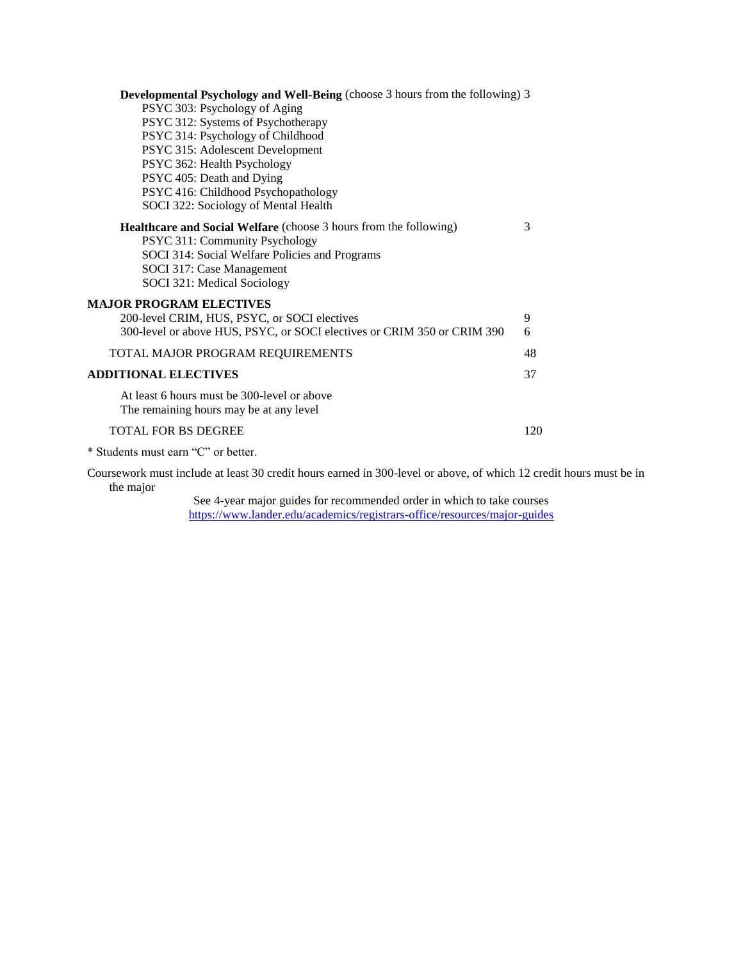| <b>Developmental Psychology and Well-Being</b> (choose 3 hours from the following) 3                                                                                                                                     |     |
|--------------------------------------------------------------------------------------------------------------------------------------------------------------------------------------------------------------------------|-----|
| PSYC 303: Psychology of Aging                                                                                                                                                                                            |     |
| PSYC 312: Systems of Psychotherapy                                                                                                                                                                                       |     |
| PSYC 314: Psychology of Childhood                                                                                                                                                                                        |     |
| PSYC 315: Adolescent Development                                                                                                                                                                                         |     |
| PSYC 362: Health Psychology                                                                                                                                                                                              |     |
| PSYC 405: Death and Dying                                                                                                                                                                                                |     |
| PSYC 416: Childhood Psychopathology                                                                                                                                                                                      |     |
| SOCI 322: Sociology of Mental Health                                                                                                                                                                                     |     |
| <b>Healthcare and Social Welfare</b> (choose 3 hours from the following)<br>PSYC 311: Community Psychology<br>SOCI 314: Social Welfare Policies and Programs<br>SOCI 317: Case Management<br>SOCI 321: Medical Sociology | 3   |
| <b>MAJOR PROGRAM ELECTIVES</b>                                                                                                                                                                                           |     |
| 200-level CRIM, HUS, PSYC, or SOCI electives                                                                                                                                                                             | 9   |
| 300-level or above HUS, PSYC, or SOCI electives or CRIM 350 or CRIM 390                                                                                                                                                  | 6   |
| TOTAL MAJOR PROGRAM REQUIREMENTS                                                                                                                                                                                         | 48  |
| <b>ADDITIONAL ELECTIVES</b>                                                                                                                                                                                              | 37  |
| At least 6 hours must be 300-level or above<br>The remaining hours may be at any level                                                                                                                                   |     |
| <b>TOTAL FOR BS DEGREE</b>                                                                                                                                                                                               | 120 |

\* Students must earn "C" or better.

Coursework must include at least 30 credit hours earned in 300-level or above, of which 12 credit hours must be in the major

See 4-year major guides for recommended order in which to take courses <https://www.lander.edu/academics/registrars-office/resources/major-guides>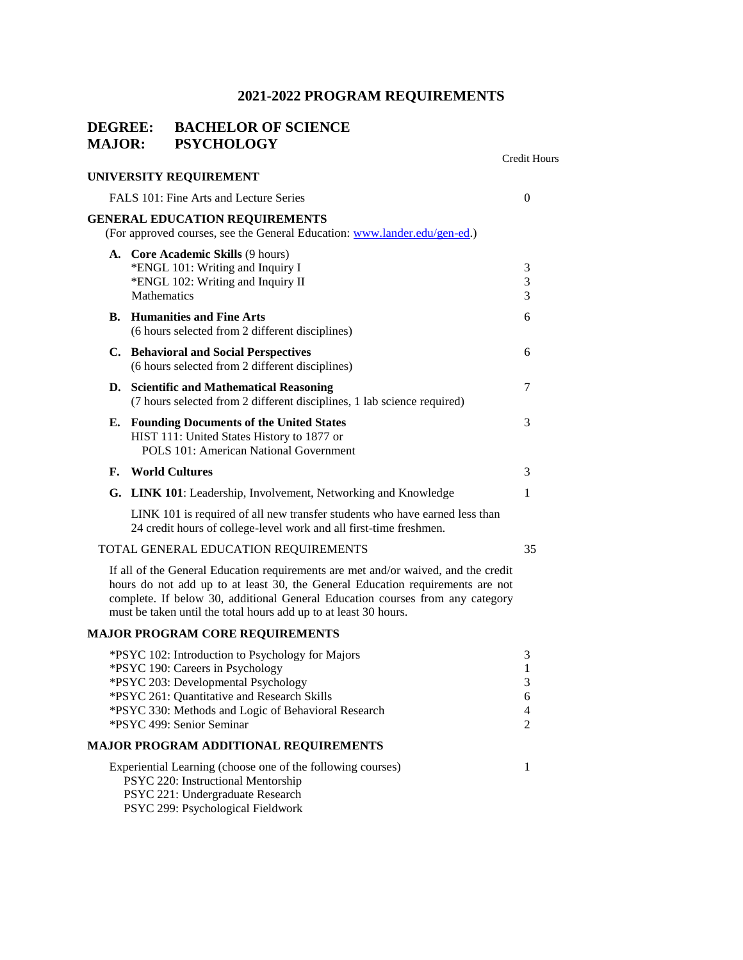# **2021-2022 PROGRAM REQUIREMENTS**

# **DEGREE: BACHELOR OF SCIENCE MAJOR: PSYCHOLOGY**

|    |                                                                                                                                                                                                                                                                                                                           | Credit Hours                          |
|----|---------------------------------------------------------------------------------------------------------------------------------------------------------------------------------------------------------------------------------------------------------------------------------------------------------------------------|---------------------------------------|
|    | UNIVERSITY REQUIREMENT                                                                                                                                                                                                                                                                                                    |                                       |
|    | FALS 101: Fine Arts and Lecture Series                                                                                                                                                                                                                                                                                    | $\overline{0}$                        |
|    | <b>GENERAL EDUCATION REQUIREMENTS</b><br>(For approved courses, see the General Education: www.lander.edu/gen-ed.)                                                                                                                                                                                                        |                                       |
|    | A. Core Academic Skills (9 hours)<br>*ENGL 101: Writing and Inquiry I<br>*ENGL 102: Writing and Inquiry II<br>Mathematics                                                                                                                                                                                                 | 3<br>3<br>3                           |
|    | <b>B.</b> Humanities and Fine Arts<br>(6 hours selected from 2 different disciplines)                                                                                                                                                                                                                                     | 6                                     |
|    | C. Behavioral and Social Perspectives<br>(6 hours selected from 2 different disciplines)                                                                                                                                                                                                                                  | 6                                     |
|    | D. Scientific and Mathematical Reasoning<br>(7 hours selected from 2 different disciplines, 1 lab science required)                                                                                                                                                                                                       | 7                                     |
| Е. | <b>Founding Documents of the United States</b><br>HIST 111: United States History to 1877 or<br><b>POLS 101: American National Government</b>                                                                                                                                                                             | 3                                     |
| F. | <b>World Cultures</b>                                                                                                                                                                                                                                                                                                     | 3                                     |
|    | G. LINK 101: Leadership, Involvement, Networking and Knowledge                                                                                                                                                                                                                                                            | 1                                     |
|    | LINK 101 is required of all new transfer students who have earned less than<br>24 credit hours of college-level work and all first-time freshmen.                                                                                                                                                                         |                                       |
|    | TOTAL GENERAL EDUCATION REQUIREMENTS                                                                                                                                                                                                                                                                                      | 35                                    |
|    | If all of the General Education requirements are met and/or waived, and the credit<br>hours do not add up to at least 30, the General Education requirements are not<br>complete. If below 30, additional General Education courses from any category<br>must be taken until the total hours add up to at least 30 hours. |                                       |
|    | <b>MAJOR PROGRAM CORE REQUIREMENTS</b>                                                                                                                                                                                                                                                                                    |                                       |
|    | *PSYC 102: Introduction to Psychology for Majors<br>*PSYC 190: Careers in Psychology<br>*PSYC 203: Developmental Psychology<br>*PSYC 261: Quantitative and Research Skills<br>*PSYC 330: Methods and Logic of Behavioral Research<br>*PSYC 499: Senior Seminar                                                            | 3<br>$\mathbf{1}$<br>3<br>6<br>4<br>2 |
|    | MAJOR PROGRAM ADDITIONAL REQUIREMENTS                                                                                                                                                                                                                                                                                     |                                       |
|    | Experiential Learning (choose one of the following courses)<br>PSYC 220: Instructional Mentorship<br>PSYC 221: Undergraduate Research<br>PSYC 299: Psychological Fieldwork                                                                                                                                                | 1                                     |